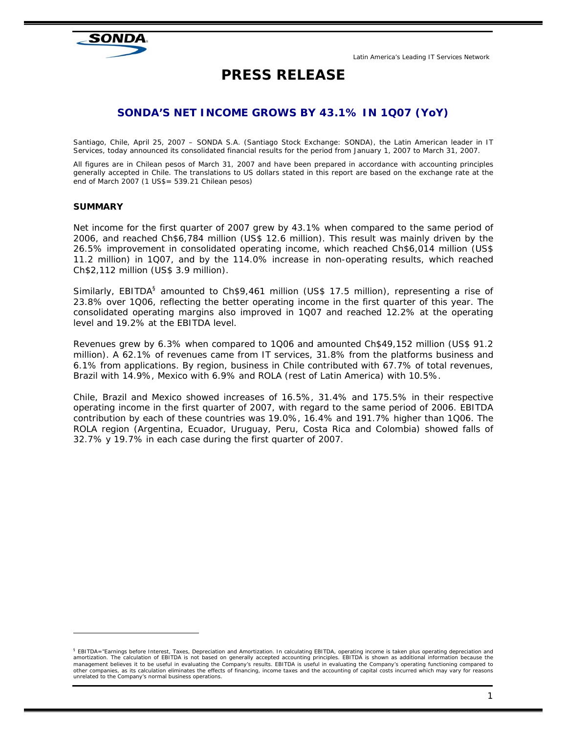# SONDA

# **PRESS RELEASE**

# **SONDA'S NET INCOME GROWS BY 43.1% IN 1Q07 (YoY)**

*Santiago, Chile, April 25, 2007 – SONDA S.A. (Santiago Stock Exchange: SONDA), the Latin American leader in IT Services, today announced its consolidated financial results for the period from January 1, 2007 to March 31, 2007.* 

*All figures are in Chilean pesos of March 31, 2007 and have been prepared in accordance with accounting principles generally accepted in Chile. The translations to US dollars stated in this report are based on the exchange rate at the end of March 2007 (1 US\$= 539.21 Chilean pesos)* 

# **SUMMARY**

 $\overline{a}$ 

Net income for the first quarter of 2007 grew by 43.1% when compared to the same period of 2006, and reached Ch\$6,784 million (US\$ 12.6 million). This result was mainly driven by the 26.5% improvement in consolidated operating income, which reached Ch\$6,014 million (US\$ 11.2 million) in 1Q07, and by the 114.0% increase in non-operating results, which reached Ch\$2,112 million (US\$ 3.9 million).

Similarly, EBITDA<sup>§</sup> amounted to Ch\$9,461 million (US\$ 17.5 million), representing a rise of 23.8% over 1Q06, reflecting the better operating income in the first quarter of this year. The consolidated operating margins also improved in 1Q07 and reached 12.2% at the operating level and 19.2% at the EBITDA level.

Revenues grew by 6.3% when compared to 1Q06 and amounted Ch\$49,152 million (US\$ 91.2 million). A 62.1% of revenues came from IT services, 31.8% from the platforms business and 6.1% from applications. By region, business in Chile contributed with 67.7% of total revenues, Brazil with 14.9%, Mexico with 6.9% and ROLA (rest of Latin America) with 10.5%.

Chile, Brazil and Mexico showed increases of 16.5%, 31.4% and 175.5% in their respective operating income in the first quarter of 2007, with regard to the same period of 2006. EBITDA contribution by each of these countries was 19.0%, 16.4% and 191.7% higher than 1Q06. The ROLA region (Argentina, Ecuador, Uruguay, Peru, Costa Rica and Colombia) showed falls of 32.7% y 19.7% in each case during the first quarter of 2007.

<sup>&</sup>lt;sup>§</sup> EBITDA="Earnings before Interest, Taxes, Depreciation and Amortization. In calculating EBITDA, operating income is taken plus operating depreciation and<br>amortization. The calculation of EBITDA is not based on generally *management believes it to be useful in evaluating the Company's results. EBITDA is useful in evaluating the Company's operating functioning compared to other companies, as its calculation eliminates the effects of financing, income taxes and the accounting of capital costs incurred which may vary for reasons unrelated to the Company's normal business operations.*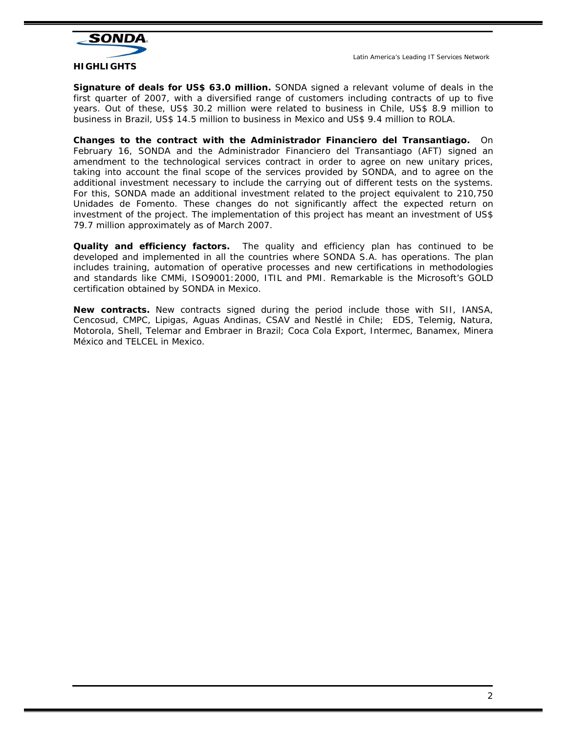

**Signature of deals for US\$ 63.0 million.** SONDA signed a relevant volume of deals in the first quarter of 2007, with a diversified range of customers including contracts of up to five years. Out of these, US\$ 30.2 million were related to business in Chile, US\$ 8.9 million to business in Brazil, US\$ 14.5 million to business in Mexico and US\$ 9.4 million to ROLA.

**Changes to the contract with the Administrador Financiero del Transantiago.** On February 16, SONDA and the Administrador Financiero del Transantiago (AFT) signed an amendment to the technological services contract in order to agree on new unitary prices, taking into account the final scope of the services provided by SONDA, and to agree on the additional investment necessary to include the carrying out of different tests on the systems. For this, SONDA made an additional investment related to the project equivalent to 210,750 Unidades de Fomento. These changes do not significantly affect the expected return on investment of the project. The implementation of this project has meant an investment of US\$ 79.7 million approximately as of March 2007.

**Quality and efficiency factors.** The quality and efficiency plan has continued to be developed and implemented in all the countries where SONDA S.A. has operations. The plan includes training, automation of operative processes and new certifications in methodologies and standards like CMMi, ISO9001:2000, ITIL and PMI. Remarkable is the Microsoft's GOLD certification obtained by SONDA in Mexico.

**New contracts.** New contracts signed during the period include those with SII, IANSA, Cencosud, CMPC, Lipigas, Aguas Andinas, CSAV and Nestlé in Chile; EDS, Telemig, Natura, Motorola, Shell, Telemar and Embraer in Brazil; Coca Cola Export, Intermec, Banamex, Minera México and TELCEL in Mexico.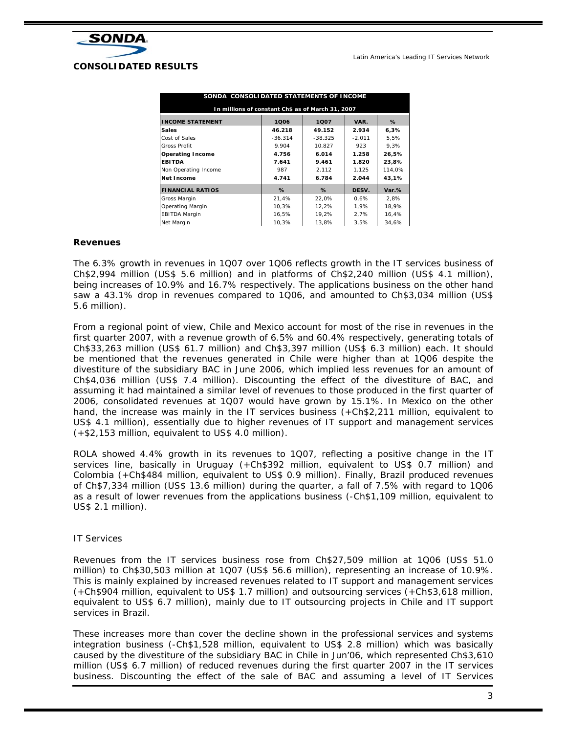

| SONDA CONSOLIDATED STATEMENTS OF INCOME           |           |           |          |        |  |  |  |  |
|---------------------------------------------------|-----------|-----------|----------|--------|--|--|--|--|
| In millions of constant Ch\$ as of March 31, 2007 |           |           |          |        |  |  |  |  |
| <b>INCOME STATEMENT</b>                           | 1006      | 1007      | VAR.     | %      |  |  |  |  |
| <b>Sales</b>                                      | 46.218    | 49.152    | 2.934    | 6,3%   |  |  |  |  |
| Cost of Sales                                     | $-36.314$ | $-38.325$ | $-2.011$ | 5.5%   |  |  |  |  |
| Gross Profit                                      | 9.904     | 10.827    | 923      | 9,3%   |  |  |  |  |
| <b>Operating Income</b>                           | 4.756     | 6.014     | 1.258    | 26.5%  |  |  |  |  |
| <b>EBITDA</b>                                     | 7.641     | 9.461     | 1.820    | 23.8%  |  |  |  |  |
| Non Operating Income                              | 987       | 2.112     | 1.125    | 114.0% |  |  |  |  |
| Net Income                                        | 4.741     | 6.784     | 2.044    | 43.1%  |  |  |  |  |
| <b>FINANCIAL RATIOS</b>                           | %         | $\%$      | DESV.    | Var.%  |  |  |  |  |
| Gross Margin                                      | 21.4%     | 22.0%     | 0.6%     | 2.8%   |  |  |  |  |
| Operating Margin                                  | 10.3%     | 12,2%     | 1.9%     | 18.9%  |  |  |  |  |
| <b>EBITDA Margin</b>                              | 16,5%     | 19,2%     | 2,7%     | 16,4%  |  |  |  |  |
| Net Margin                                        | 10,3%     | 13,8%     | 3,5%     | 34.6%  |  |  |  |  |

#### **Revenues**

The 6.3% growth in revenues in 1Q07 over 1Q06 reflects growth in the IT services business of Ch\$2,994 million (US\$ 5.6 million) and in platforms of Ch\$2,240 million (US\$ 4.1 million), being increases of 10.9% and 16.7% respectively. The applications business on the other hand saw a 43.1% drop in revenues compared to 1Q06, and amounted to Ch\$3,034 million (US\$ 5.6 million).

From a regional point of view, Chile and Mexico account for most of the rise in revenues in the first quarter 2007, with a revenue growth of 6.5% and 60.4% respectively, generating totals of Ch\$33,263 million (US\$ 61.7 million) and Ch\$3,397 million (US\$ 6.3 million) each. It should be mentioned that the revenues generated in Chile were higher than at 1Q06 despite the divestiture of the subsidiary BAC in June 2006, which implied less revenues for an amount of Ch\$4,036 million (US\$ 7.4 million). Discounting the effect of the divestiture of BAC, and assuming it had maintained a similar level of revenues to those produced in the first quarter of 2006, consolidated revenues at 1Q07 would have grown by 15.1%. In Mexico on the other hand, the increase was mainly in the IT services business (+Ch\$2,211 million, equivalent to US\$ 4.1 million), essentially due to higher revenues of IT support and management services (+\$2,153 million, equivalent to US\$ 4.0 million).

ROLA showed 4.4% growth in its revenues to 1Q07, reflecting a positive change in the IT services line, basically in Uruguay (+Ch\$392 million, equivalent to US\$ 0.7 million) and Colombia (+Ch\$484 million, equivalent to US\$ 0.9 million). Finally, Brazil produced revenues of Ch\$7,334 million (US\$ 13.6 million) during the quarter, a fall of 7.5% with regard to 1Q06 as a result of lower revenues from the applications business (-Ch\$1,109 million, equivalent to US\$ 2.1 million).

#### IT Services

Revenues from the IT services business rose from Ch\$27,509 million at 1Q06 (US\$ 51.0 million) to Ch\$30,503 million at 1Q07 (US\$ 56.6 million), representing an increase of 10.9%. This is mainly explained by increased revenues related to IT support and management services (+Ch\$904 million, equivalent to US\$ 1.7 million) and outsourcing services (+Ch\$3,618 million, equivalent to US\$ 6.7 million), mainly due to IT outsourcing projects in Chile and IT support services in Brazil.

These increases more than cover the decline shown in the professional services and systems integration business (-Ch\$1,528 million, equivalent to US\$ 2.8 million) which was basically caused by the divestiture of the subsidiary BAC in Chile in Jun'06, which represented Ch\$3,610 million (US\$ 6.7 million) of reduced revenues during the first quarter 2007 in the IT services business. Discounting the effect of the sale of BAC and assuming a level of IT Services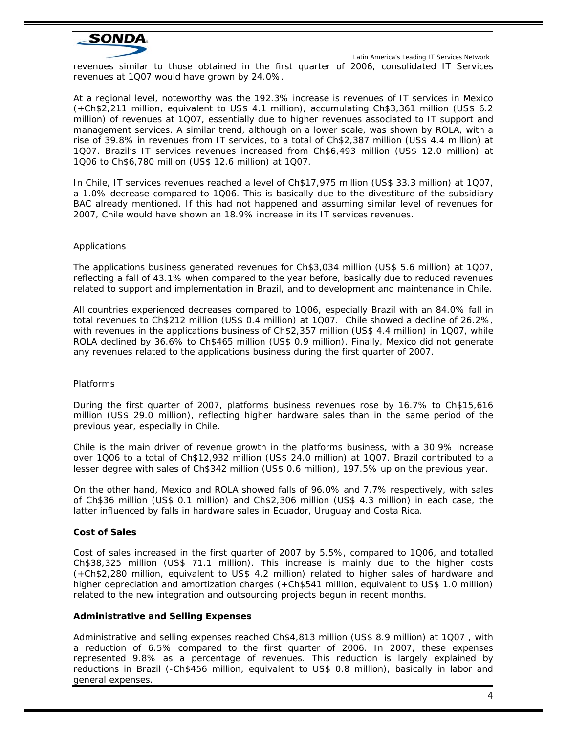

 Latin America's Leading IT Services Network revenues similar to those obtained in the first quarter of 2006, consolidated IT Services revenues at 1Q07 would have grown by 24.0%.

At a regional level, noteworthy was the 192.3% increase is revenues of IT services in Mexico (+Ch\$2,211 million, equivalent to US\$ 4.1 million), accumulating Ch\$3,361 million (US\$ 6.2 million) of revenues at 1Q07, essentially due to higher revenues associated to IT support and management services. A similar trend, although on a lower scale, was shown by ROLA, with a rise of 39.8% in revenues from IT services, to a total of Ch\$2,387 million (US\$ 4.4 million) at 1Q07. Brazil's IT services revenues increased from Ch\$6,493 million (US\$ 12.0 million) at 1Q06 to Ch\$6,780 million (US\$ 12.6 million) at 1Q07.

In Chile, IT services revenues reached a level of Ch\$17,975 million (US\$ 33.3 million) at 1Q07, a 1.0% decrease compared to 1Q06. This is basically due to the divestiture of the subsidiary BAC already mentioned. If this had not happened and assuming similar level of revenues for 2007, Chile would have shown an 18.9% increase in its IT services revenues.

#### Applications

The applications business generated revenues for Ch\$3,034 million (US\$ 5.6 million) at 1Q07, reflecting a fall of 43.1% when compared to the year before, basically due to reduced revenues related to support and implementation in Brazil, and to development and maintenance in Chile.

All countries experienced decreases compared to 1Q06, especially Brazil with an 84.0% fall in total revenues to Ch\$212 million (US\$ 0.4 million) at 1Q07. Chile showed a decline of 26.2%, with revenues in the applications business of Ch\$2,357 million (US\$ 4.4 million) in 1Q07, while ROLA declined by 36.6% to Ch\$465 million (US\$ 0.9 million). Finally, Mexico did not generate any revenues related to the applications business during the first quarter of 2007.

#### Platforms

During the first quarter of 2007, platforms business revenues rose by 16.7% to Ch\$15,616 million (US\$ 29.0 million), reflecting higher hardware sales than in the same period of the previous year, especially in Chile.

Chile is the main driver of revenue growth in the platforms business, with a 30.9% increase over 1Q06 to a total of Ch\$12,932 million (US\$ 24.0 million) at 1Q07. Brazil contributed to a lesser degree with sales of Ch\$342 million (US\$ 0.6 million), 197.5% up on the previous year.

On the other hand, Mexico and ROLA showed falls of 96.0% and 7.7% respectively, with sales of Ch\$36 million (US\$ 0.1 million) and Ch\$2,306 million (US\$ 4.3 million) in each case, the latter influenced by falls in hardware sales in Ecuador, Uruguay and Costa Rica.

# **Cost of Sales**

Cost of sales increased in the first quarter of 2007 by 5.5%, compared to 1Q06, and totalled Ch\$38,325 million (US\$ 71.1 million). This increase is mainly due to the higher costs (+Ch\$2,280 million, equivalent to US\$ 4.2 million) related to higher sales of hardware and higher depreciation and amortization charges (+Ch\$541 million, equivalent to US\$ 1.0 million) related to the new integration and outsourcing projects begun in recent months.

#### **Administrative and Selling Expenses**

Administrative and selling expenses reached Ch\$4,813 million (US\$ 8.9 million) at 1Q07 , with a reduction of 6.5% compared to the first quarter of 2006. In 2007, these expenses represented 9.8% as a percentage of revenues. This reduction is largely explained by reductions in Brazil (-Ch\$456 million, equivalent to US\$ 0.8 million), basically in labor and general expenses.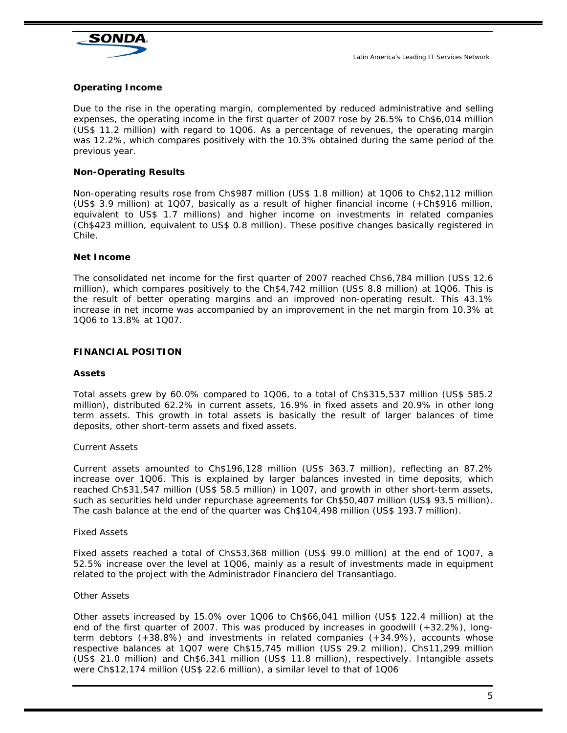

# **Operating Income**

Due to the rise in the operating margin, complemented by reduced administrative and selling expenses, the operating income in the first quarter of 2007 rose by 26.5% to Ch\$6,014 million (US\$ 11.2 million) with regard to 1Q06. As a percentage of revenues, the operating margin was 12.2%, which compares positively with the 10.3% obtained during the same period of the previous year.

# **Non-Operating Results**

Non-operating results rose from Ch\$987 million (US\$ 1.8 million) at 1Q06 to Ch\$2,112 million (US\$ 3.9 million) at 1Q07, basically as a result of higher financial income (+Ch\$916 million, equivalent to US\$ 1.7 millions) and higher income on investments in related companies (Ch\$423 million, equivalent to US\$ 0.8 million). These positive changes basically registered in Chile.

#### **Net Income**

The consolidated net income for the first quarter of 2007 reached Ch\$6,784 million (US\$ 12.6 million), which compares positively to the Ch\$4,742 million (US\$ 8.8 million) at 1Q06. This is the result of better operating margins and an improved non-operating result. This 43.1% increase in net income was accompanied by an improvement in the net margin from 10.3% at 1Q06 to 13.8% at 1Q07.

#### **FINANCIAL POSITION**

#### **Assets**

Total assets grew by 60.0% compared to 1Q06, to a total of Ch\$315,537 million (US\$ 585.2 million), distributed 62.2% in current assets, 16.9% in fixed assets and 20.9% in other long term assets. This growth in total assets is basically the result of larger balances of time deposits, other short-term assets and fixed assets.

#### Current Assets

Current assets amounted to Ch\$196,128 million (US\$ 363.7 million), reflecting an 87.2% increase over 1Q06. This is explained by larger balances invested in time deposits, which reached Ch\$31,547 million (US\$ 58.5 million) in 1Q07, and growth in other short-term assets, such as securities held under repurchase agreements for Ch\$50,407 million (US\$ 93.5 million). The cash balance at the end of the quarter was Ch\$104,498 million (US\$ 193.7 million).

#### Fixed Assets

Fixed assets reached a total of Ch\$53,368 million (US\$ 99.0 million) at the end of 1Q07, a 52.5% increase over the level at 1Q06, mainly as a result of investments made in equipment related to the project with the Administrador Financiero del Transantiago.

#### Other Assets

Other assets increased by 15.0% over 1Q06 to Ch\$66,041 million (US\$ 122.4 million) at the end of the first quarter of 2007. This was produced by increases in goodwill (+32.2%), longterm debtors (+38.8%) and investments in related companies (+34.9%), accounts whose respective balances at 1Q07 were Ch\$15,745 million (US\$ 29.2 million), Ch\$11,299 million (US\$ 21.0 million) and Ch\$6,341 million (US\$ 11.8 million), respectively. Intangible assets were Ch\$12,174 million (US\$ 22.6 million), a similar level to that of 1Q06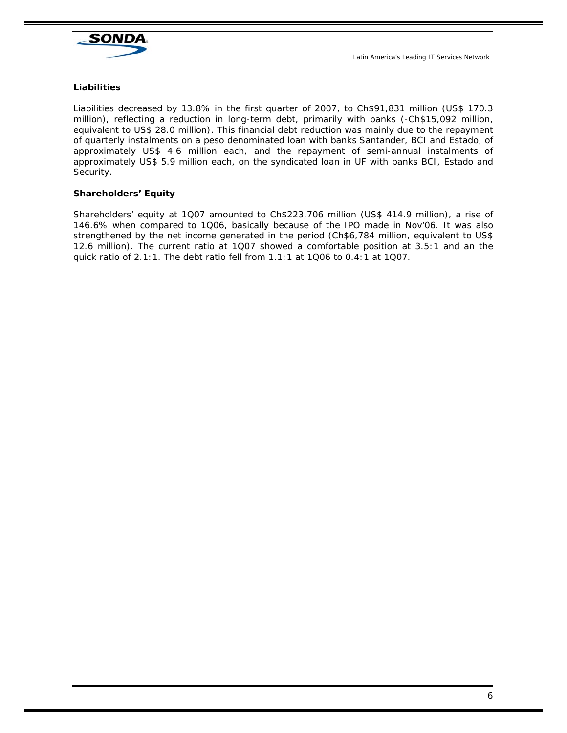

# **Liabilities**

Liabilities decreased by 13.8% in the first quarter of 2007, to Ch\$91,831 million (US\$ 170.3 million), reflecting a reduction in long-term debt, primarily with banks (-Ch\$15,092 million, equivalent to US\$ 28.0 million). This financial debt reduction was mainly due to the repayment of quarterly instalments on a peso denominated loan with banks Santander, BCI and Estado, of approximately US\$ 4.6 million each, and the repayment of semi-annual instalments of approximately US\$ 5.9 million each, on the syndicated loan in UF with banks BCI, Estado and Security.

# **Shareholders' Equity**

Shareholders' equity at 1Q07 amounted to Ch\$223,706 million (US\$ 414.9 million), a rise of 146.6% when compared to 1Q06, basically because of the IPO made in Nov'06. It was also strengthened by the net income generated in the period (Ch\$6,784 million, equivalent to US\$ 12.6 million). The current ratio at 1Q07 showed a comfortable position at 3.5:1 and an the quick ratio of 2.1:1. The debt ratio fell from 1.1:1 at 1Q06 to 0.4:1 at 1Q07.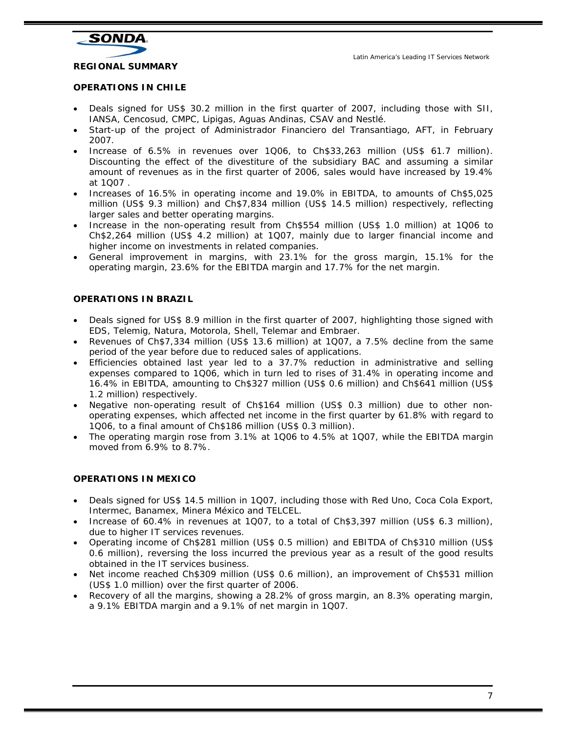

**REGIONAL SUMMARY** 

#### **OPERATIONS IN CHILE**

- Deals signed for US\$ 30.2 million in the first quarter of 2007, including those with SII, IANSA, Cencosud, CMPC, Lipigas, Aguas Andinas, CSAV and Nestlé.
- Start-up of the project of Administrador Financiero del Transantiago, AFT, in February 2007.
- Increase of 6.5% in revenues over 1Q06, to Ch\$33,263 million (US\$ 61.7 million). Discounting the effect of the divestiture of the subsidiary BAC and assuming a similar amount of revenues as in the first quarter of 2006, sales would have increased by 19.4% at 1Q07 .
- Increases of 16.5% in operating income and 19.0% in EBITDA, to amounts of Ch\$5,025 million (US\$ 9.3 million) and Ch\$7,834 million (US\$ 14.5 million) respectively, reflecting larger sales and better operating margins.
- Increase in the non-operating result from Ch\$554 million (US\$ 1.0 million) at 1Q06 to Ch\$2,264 million (US\$ 4.2 million) at 1Q07, mainly due to larger financial income and higher income on investments in related companies.
- General improvement in margins, with 23.1% for the gross margin, 15.1% for the operating margin, 23.6% for the EBITDA margin and 17.7% for the net margin.

# **OPERATIONS IN BRAZIL**

- Deals signed for US\$ 8.9 million in the first quarter of 2007, highlighting those signed with EDS, Telemig, Natura, Motorola, Shell, Telemar and Embraer.
- Revenues of Ch\$7,334 million (US\$ 13.6 million) at 1Q07, a 7.5% decline from the same period of the year before due to reduced sales of applications.
- Efficiencies obtained last year led to a 37.7% reduction in administrative and selling expenses compared to 1Q06, which in turn led to rises of 31.4% in operating income and 16.4% in EBITDA, amounting to Ch\$327 million (US\$ 0.6 million) and Ch\$641 million (US\$ 1.2 million) respectively.
- Negative non-operating result of Ch\$164 million (US\$ 0.3 million) due to other nonoperating expenses, which affected net income in the first quarter by 61.8% with regard to 1Q06, to a final amount of Ch\$186 million (US\$ 0.3 million).
- The operating margin rose from  $3.1\%$  at 1Q06 to  $4.5\%$  at 1Q07, while the EBITDA margin moved from 6.9% to 8.7%.

# **OPERATIONS IN MEXICO**

- Deals signed for US\$ 14.5 million in 1Q07, including those with Red Uno, Coca Cola Export, Intermec, Banamex, Minera México and TELCEL.
- Increase of 60.4% in revenues at 1Q07, to a total of Ch\$3,397 million (US\$ 6.3 million), due to higher IT services revenues.
- Operating income of Ch\$281 million (US\$ 0.5 million) and EBITDA of Ch\$310 million (US\$ 0.6 million), reversing the loss incurred the previous year as a result of the good results obtained in the IT services business.
- Net income reached Ch\$309 million (US\$ 0.6 million), an improvement of Ch\$531 million (US\$ 1.0 million) over the first quarter of 2006.
- Recovery of all the margins, showing a 28.2% of gross margin, an 8.3% operating margin, a 9.1% EBITDA margin and a 9.1% of net margin in 1Q07.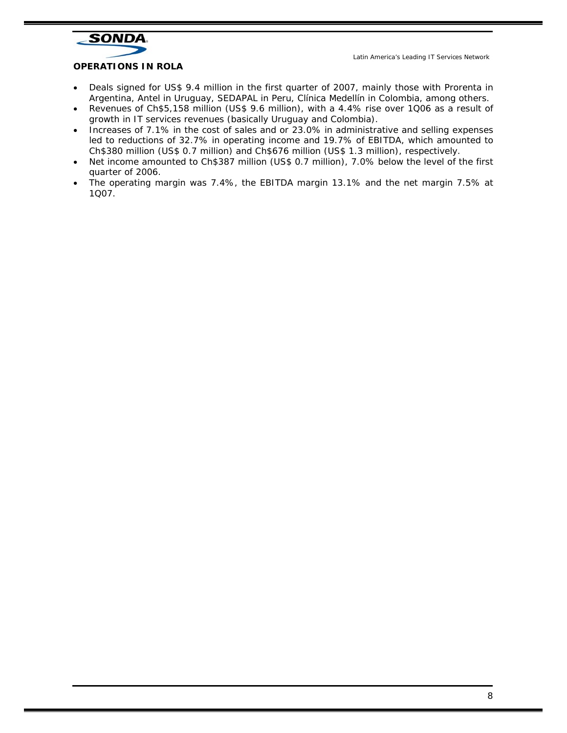

# **OPERATIONS IN ROLA**

- Deals signed for US\$ 9.4 million in the first quarter of 2007, mainly those with Prorenta in Argentina, Antel in Uruguay, SEDAPAL in Peru, Clínica Medellín in Colombia, among others.
- Revenues of Ch\$5,158 million (US\$ 9.6 million), with a 4.4% rise over 1Q06 as a result of growth in IT services revenues (basically Uruguay and Colombia).
- Increases of 7.1% in the cost of sales and or 23.0% in administrative and selling expenses led to reductions of 32.7% in operating income and 19.7% of EBITDA, which amounted to Ch\$380 million (US\$ 0.7 million) and Ch\$676 million (US\$ 1.3 million), respectively.
- Net income amounted to Ch\$387 million (US\$ 0.7 million), 7.0% below the level of the first quarter of 2006.
- The operating margin was 7.4%, the EBITDA margin 13.1% and the net margin 7.5% at 1Q07.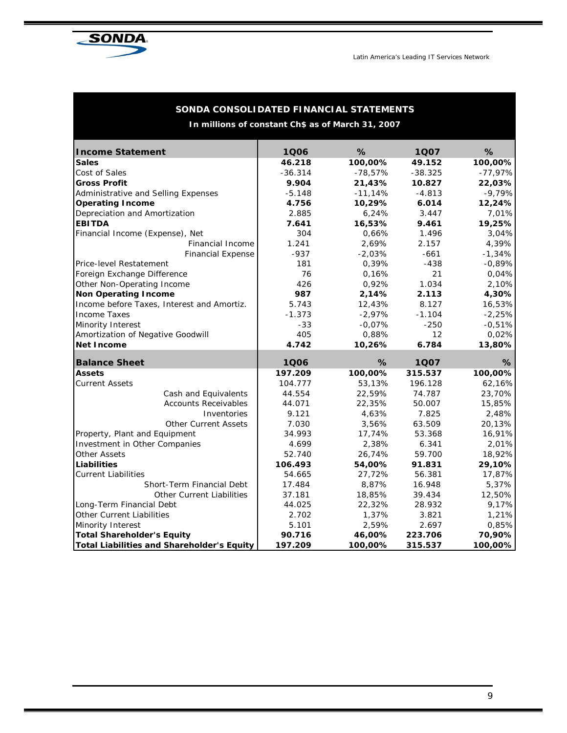

| SONDA CONSOLIDATED FINANCIAL STATEMENTS           |           |           |           |           |  |  |  |  |
|---------------------------------------------------|-----------|-----------|-----------|-----------|--|--|--|--|
| In millions of constant Ch\$ as of March 31, 2007 |           |           |           |           |  |  |  |  |
| <b>Income Statement</b>                           | 1Q06      | %         | 1Q07      | %         |  |  |  |  |
| <b>Sales</b>                                      | 46.218    | 100,00%   | 49.152    | 100,00%   |  |  |  |  |
| Cost of Sales                                     | $-36.314$ | $-78,57%$ | $-38.325$ | $-77,97%$ |  |  |  |  |
| <b>Gross Profit</b>                               | 9.904     | 21,43%    | 10.827    | 22,03%    |  |  |  |  |
| Administrative and Selling Expenses               | $-5.148$  | $-11,14%$ | $-4.813$  | $-9,79%$  |  |  |  |  |
| <b>Operating Income</b>                           | 4.756     | 10,29%    | 6.014     | 12,24%    |  |  |  |  |
| Depreciation and Amortization                     | 2.885     | 6,24%     | 3.447     | 7,01%     |  |  |  |  |
| <b>EBITDA</b>                                     | 7.641     | 16,53%    | 9.461     | 19,25%    |  |  |  |  |
| Financial Income (Expense), Net                   | 304       | 0,66%     | 1.496     | 3,04%     |  |  |  |  |
| Financial Income                                  | 1.241     | 2,69%     | 2.157     | 4,39%     |  |  |  |  |
| <b>Financial Expense</b>                          | $-937$    | $-2.03%$  | $-661$    | $-1,34%$  |  |  |  |  |
| Price-level Restatement                           | 181       | 0,39%     | $-438$    | $-0,89%$  |  |  |  |  |
| Foreign Exchange Difference                       | 76        | 0,16%     | 21        | 0,04%     |  |  |  |  |
| Other Non-Operating Income                        | 426       | 0,92%     | 1.034     | 2,10%     |  |  |  |  |
| <b>Non Operating Income</b>                       | 987       | 2,14%     | 2.113     | 4,30%     |  |  |  |  |
| Income before Taxes, Interest and Amortiz.        | 5.743     | 12,43%    | 8.127     | 16,53%    |  |  |  |  |
| <b>Income Taxes</b>                               | $-1.373$  | $-2,97%$  | $-1.104$  | $-2,25%$  |  |  |  |  |
| Minority Interest                                 | $-33$     | $-0,07%$  | $-250$    | $-0,51%$  |  |  |  |  |
| Amortization of Negative Goodwill                 | 405       | 0,88%     | 12        | 0,02%     |  |  |  |  |
| <b>Net Income</b>                                 | 4.742     | 10,26%    | 6.784     | 13,80%    |  |  |  |  |
| <b>Balance Sheet</b>                              | 1Q06      | %         | 1Q07      | ℅         |  |  |  |  |
| <b>Assets</b>                                     | 197.209   | 100,00%   | 315.537   | 100,00%   |  |  |  |  |
| <b>Current Assets</b>                             | 104.777   | 53,13%    | 196.128   | 62,16%    |  |  |  |  |
| Cash and Equivalents                              | 44.554    | 22,59%    | 74.787    | 23,70%    |  |  |  |  |
| <b>Accounts Receivables</b>                       | 44.071    | 22,35%    | 50.007    | 15,85%    |  |  |  |  |
| Inventories                                       | 9.121     | 4,63%     | 7.825     | 2,48%     |  |  |  |  |
| <b>Other Current Assets</b>                       | 7.030     | 3,56%     | 63.509    | 20,13%    |  |  |  |  |
| Property, Plant and Equipment                     | 34.993    | 17,74%    | 53.368    | 16,91%    |  |  |  |  |
| Investment in Other Companies                     | 4.699     | 2,38%     | 6.341     | 2,01%     |  |  |  |  |
| Other Assets                                      | 52.740    | 26,74%    | 59.700    | 18,92%    |  |  |  |  |
| <b>Liabilities</b>                                | 106.493   | 54,00%    | 91.831    | 29,10%    |  |  |  |  |
| <b>Current Liabilities</b>                        | 54.665    | 27,72%    | 56.381    | 17,87%    |  |  |  |  |
| <b>Short-Term Financial Debt</b>                  | 17.484    | 8,87%     | 16.948    | 5,37%     |  |  |  |  |
| <b>Other Current Liabilities</b>                  | 37.181    | 18,85%    | 39.434    | 12,50%    |  |  |  |  |
| Long-Term Financial Debt                          | 44.025    | 22,32%    | 28.932    | 9,17%     |  |  |  |  |
| Other Current Liabilities                         | 2.702     | 1,37%     | 3.821     | 1,21%     |  |  |  |  |
| Minority Interest                                 | 5.101     | 2,59%     | 2.697     | 0,85%     |  |  |  |  |
| <b>Total Shareholder's Equity</b>                 | 90.716    | 46,00%    | 223.706   | 70,90%    |  |  |  |  |
| <b>Total Liabilities and Shareholder's Equity</b> | 197.209   | 100,00%   | 315.537   | 100,00%   |  |  |  |  |